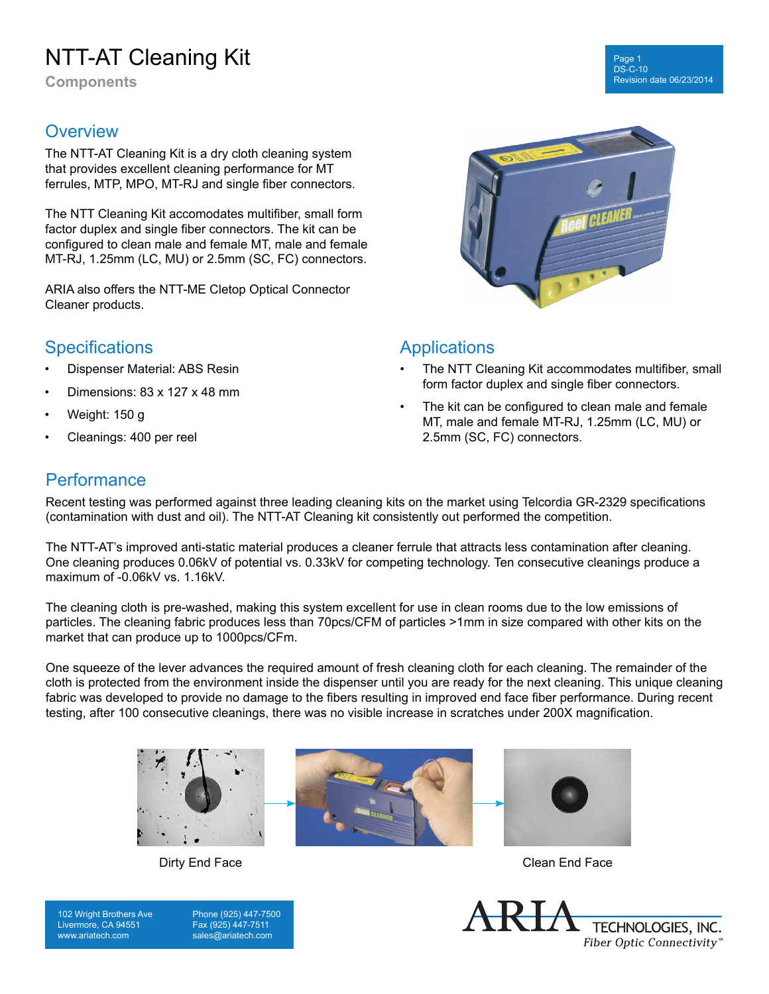# NTT-AT Cleaning Kit

**Components**

#### **Overview**

The NTT-AT Cleaning Kit is a dry cloth cleaning system that provides excellent cleaning performance for MT ferrules, MTP, MPO, MT-RJ and single fiber connectors.

The NTT Cleaning Kit accomodates multifiber, small form factor duplex and single fiber connectors. The kit can be configured to clean male and female MT, male and female MT-RJ, 1.25mm (LC, MU) or 2.5mm (SC, FC) connectors.

ARIA also offers the NTT-ME Cletop Optical Connector Cleaner products.

## **Specifications**

- Dispenser Material: ABS Resin
- Dimensions: 83 x 127 x 48 mm
- Weight: 150 g
- Cleanings: 400 per reel



### **Applications**

- The NTT Cleaning Kit accommodates multifiber, small form factor duplex and single fiber connectors.
- The kit can be configured to clean male and female MT, male and female MT-RJ, 1.25mm (LC, MU) or 2.5mm (SC, FC) connectors.

### **Performance**

Recent testing was performed against three leading cleaning kits on the market using Telcordia GR-2329 specifications (contamination with dust and oil). The NTT-AT Cleaning kit consistently out performed the competition.

The NTT-AT's improved anti-static material produces a cleaner ferrule that attracts less contamination after cleaning. One cleaning produces 0.06kV of potential vs. 0.33kV for competing technology. Ten consecutive cleanings produce a maximum of -0.06kV vs. 1.16kV.

The cleaning cloth is pre-washed, making this system excellent for use in clean rooms due to the low emissions of particles. The cleaning fabric produces less than 70pcs/CFM of particles >1mm in size compared with other kits on the market that can produce up to 1000pcs/CFm.

One squeeze of the lever advances the required amount of fresh cleaning cloth for each cleaning. The remainder of the cloth is protected from the environment inside the dispenser until you are ready for the next cleaning. This unique cleaning fabric was developed to provide no damage to the fibers resulting in improved end face fiber performance. During recent testing, after 100 consecutive cleanings, there was no visible increase in scratches under 200X magnification.



Dirty End Face Clean End Face

102 Wright Brothers Ave Livermore, CA 94551 www.ariatech.com

Phone (925) 447-7500 Fax (925) 447-7511 sales@ariatech.com



Page 1 DS-C-10 Revision date 06/23/2014